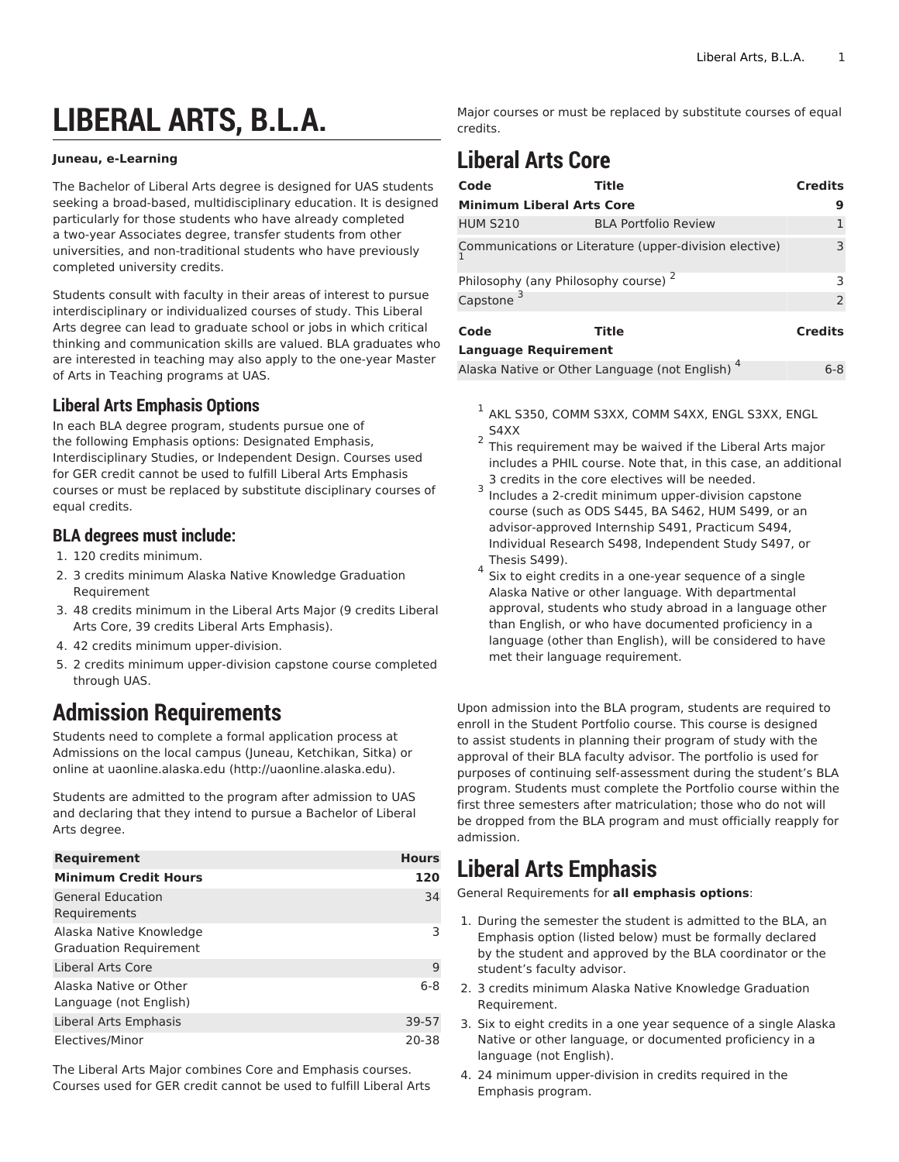# **LIBERAL ARTS, B.L.A.**

#### **Juneau, e-Learning**

The Bachelor of Liberal Arts degree is designed for UAS students seeking a broad-based, multidisciplinary education. It is designed particularly for those students who have already completed a two-year Associates degree, transfer students from other universities, and non-traditional students who have previously completed university credits.

Students consult with faculty in their areas of interest to pursue interdisciplinary or individualized courses of study. This Liberal Arts degree can lead to graduate school or jobs in which critical thinking and communication skills are valued. BLA graduates who are interested in teaching may also apply to the one-year Master of Arts in Teaching programs at UAS.

#### **Liberal Arts Emphasis Options**

In each BLA degree program, students pursue one of the following Emphasis options: Designated Emphasis, Interdisciplinary Studies, or Independent Design. Courses used for GER credit cannot be used to fulfill Liberal Arts Emphasis courses or must be replaced by substitute disciplinary courses of equal credits.

#### **BLA degrees must include:**

- 1. 120 credits minimum.
- 2. 3 credits minimum Alaska Native Knowledge Graduation Requirement
- 3. 48 credits minimum in the Liberal Arts Major (9 credits Liberal Arts Core, 39 credits Liberal Arts Emphasis).
- 4. 42 credits minimum upper-division.
- 5. 2 credits minimum upper-division capstone course completed through UAS.

### **Admission Requirements**

Students need to complete a formal application process at Admissions on the local campus (Juneau, Ketchikan, Sitka) or online at [uaonline.alaska.edu \(http://uaonline.alaska.edu\)](http://uaonline.alaska.edu).

Students are admitted to the program after admission to UAS and declaring that they intend to pursue a Bachelor of Liberal Arts degree.

| <b>Requirement</b>                                       | <b>Hours</b> |
|----------------------------------------------------------|--------------|
| <b>Minimum Credit Hours</b>                              | 120          |
| <b>General Education</b><br>Requirements                 | 34           |
| Alaska Native Knowledge<br><b>Graduation Requirement</b> | 3            |
| Liberal Arts Core                                        | 9            |
| Alaska Native or Other<br>Language (not English)         | $6 - 8$      |
| Liberal Arts Emphasis                                    | 39-57        |
| Electives/Minor                                          | 20-38        |

The Liberal Arts Major combines Core and Emphasis courses. Courses used for GER credit cannot be used to fulfill Liberal Arts Major courses or must be replaced by substitute courses of equal credits.

## **Liberal Arts Core**

| Code                                            | Title                                                  | <b>Credits</b> |  |
|-------------------------------------------------|--------------------------------------------------------|----------------|--|
| <b>Minimum Liberal Arts Core</b>                |                                                        | 9              |  |
| <b>HUM S210</b>                                 | <b>BLA Portfolio Review</b>                            |                |  |
|                                                 | Communications or Literature (upper-division elective) | 3              |  |
| Philosophy (any Philosophy course) <sup>2</sup> |                                                        |                |  |
| Capstone <sup>3</sup>                           |                                                        | $\overline{2}$ |  |
| Code                                            | Title                                                  | <b>Credits</b> |  |
| <b>Language Requirement</b>                     |                                                        |                |  |
|                                                 | Alaska Native or Other Language (not English)          | 6-8            |  |

- $^{\rm 1}$  AKL S350, COMM S3XX, COMM S4XX, ENGL S3XX, ENGL S4XX
- 2 This requirement may be waived if the Liberal Arts major includes a PHIL course. Note that, in this case, an additional 3 credits in the core electives will be needed.
- 3 Includes a 2-credit minimum upper-division capstone course (such as ODS S445, BA S462, HUM S499, or an advisor-approved Internship S491, Practicum S494, Individual Research S498, Independent Study S497, or Thesis S499).
- 4 Six to eight credits in a one-year sequence of a single Alaska Native or other language. With departmental approval, students who study abroad in a language other than English, or who have documented proficiency in a language (other than English), will be considered to have met their language requirement.

Upon admission into the BLA program, students are required to enroll in the Student Portfolio course. This course is designed to assist students in planning their program of study with the approval of their BLA faculty advisor. The portfolio is used for purposes of continuing self-assessment during the student's BLA program. Students must complete the Portfolio course within the first three semesters after matriculation; those who do not will be dropped from the BLA program and must officially reapply for admission.

### **Liberal Arts Emphasis**

General Requirements for **all emphasis options**:

- 1. During the semester the student is admitted to the BLA, an Emphasis option (listed below) must be formally declared by the student and approved by the BLA coordinator or the student's faculty advisor.
- 2. 3 credits minimum Alaska Native Knowledge Graduation Requirement.
- 3. Six to eight credits in a one year sequence of a single Alaska Native or other language, or documented proficiency in a language (not English).
- 4. 24 minimum upper-division in credits required in the Emphasis program.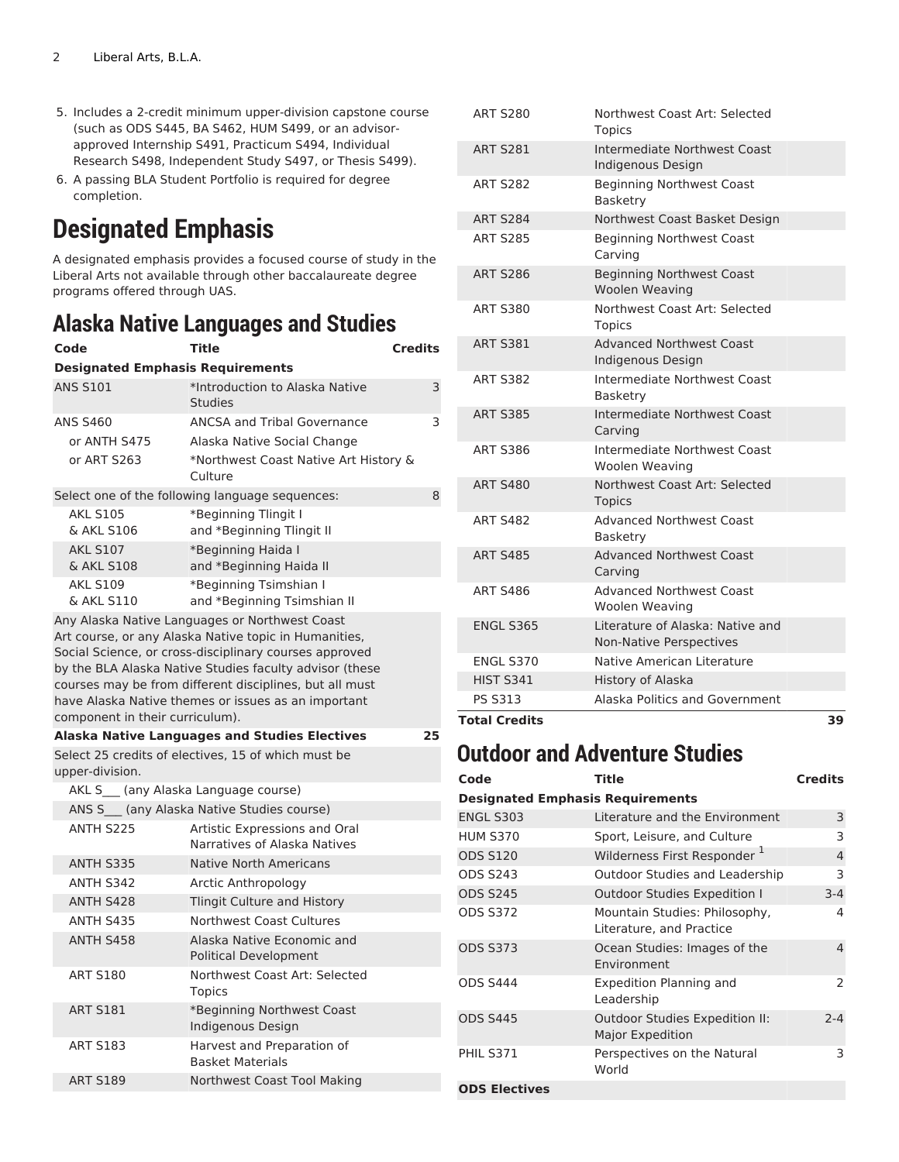- 5. Includes a 2-credit minimum upper-division capstone course (such as ODS S445, BA S462, HUM S499, or an advisorapproved Internship S491, Practicum S494, Individual Research S498, Independent Study S497, or Thesis S499).
- 6. A passing BLA Student Portfolio is required for degree completion.

# **Designated Emphasis**

A designated emphasis provides a focused course of study in the Liberal Arts not available through other baccalaureate degree programs offered through UAS.

### **Alaska Native Languages and Studies**

| Code                                    | Title                                                                                                                                                                                                                                                                                        | <b>Credits</b> |
|-----------------------------------------|----------------------------------------------------------------------------------------------------------------------------------------------------------------------------------------------------------------------------------------------------------------------------------------------|----------------|
| <b>Designated Emphasis Requirements</b> |                                                                                                                                                                                                                                                                                              |                |
| <b>ANS S101</b>                         | *Introduction to Alaska Native<br><b>Studies</b>                                                                                                                                                                                                                                             | 3              |
| <b>ANS S460</b>                         | <b>ANCSA and Tribal Governance</b>                                                                                                                                                                                                                                                           | 3              |
| or ANTH S475                            | Alaska Native Social Change                                                                                                                                                                                                                                                                  |                |
| or ART S263                             | *Northwest Coast Native Art History &<br>Culture                                                                                                                                                                                                                                             |                |
|                                         | Select one of the following language sequences:                                                                                                                                                                                                                                              | 8              |
| <b>AKL S105</b><br>& AKL S106           | *Beginning Tlingit I<br>and *Beginning Tlingit II                                                                                                                                                                                                                                            |                |
| <b>AKL S107</b><br>& AKL S108           | *Beginning Haida I<br>and *Beginning Haida II                                                                                                                                                                                                                                                |                |
| <b>AKL S109</b><br>& AKL S110           | *Beginning Tsimshian I<br>and *Beginning Tsimshian II                                                                                                                                                                                                                                        |                |
| component in their curriculum).         | Art course, or any Alaska Native topic in Humanities,<br>Social Science, or cross-disciplinary courses approved<br>by the BLA Alaska Native Studies faculty advisor (these<br>courses may be from different disciplines, but all must<br>have Alaska Native themes or issues as an important |                |
|                                         | <b>Alaska Native Languages and Studies Electives</b>                                                                                                                                                                                                                                         | 25             |
| upper-division.                         | Select 25 credits of electives, 15 of which must be                                                                                                                                                                                                                                          |                |
| AKL S (any Alaska Language course)      |                                                                                                                                                                                                                                                                                              |                |
|                                         | ANS S___ (any Alaska Native Studies course)                                                                                                                                                                                                                                                  |                |
| ANTH S225                               | Artistic Expressions and Oral<br>Narratives of Alaska Natives                                                                                                                                                                                                                                |                |
| ANTH S335                               | <b>Native North Americans</b>                                                                                                                                                                                                                                                                |                |
| ANTH S342                               | Arctic Anthropology                                                                                                                                                                                                                                                                          |                |
| ANTH S428                               | Tlingit Culture and History                                                                                                                                                                                                                                                                  |                |
| ANTH S435                               | <b>Northwest Coast Cultures</b>                                                                                                                                                                                                                                                              |                |
| ANTH S458                               | Alaska Native Economic and<br>Political Development                                                                                                                                                                                                                                          |                |
| <b>ART S180</b>                         | Northwest Coast Art: Selected<br><b>Topics</b>                                                                                                                                                                                                                                               |                |
| <b>ART S181</b>                         | *Beginning Northwest Coast<br>Indigenous Design                                                                                                                                                                                                                                              |                |
| <b>ART S183</b>                         | Harvest and Preparation of<br><b>Basket Materials</b>                                                                                                                                                                                                                                        |                |
| <b>ART S189</b>                         | Northwest Coast Tool Making                                                                                                                                                                                                                                                                  |                |

| <b>Total Credits</b> | 39                                                          |
|----------------------|-------------------------------------------------------------|
| <b>PS S313</b>       | Alaska Politics and Government                              |
| <b>HIST S341</b>     | History of Alaska                                           |
| <b>ENGL S370</b>     | Native American Literature                                  |
| <b>ENGL S365</b>     | Literature of Alaska: Native and<br>Non-Native Perspectives |
| <b>ART S486</b>      | <b>Advanced Northwest Coast</b><br>Woolen Weaving           |
| <b>ART S485</b>      | <b>Advanced Northwest Coast</b><br>Carving                  |
| <b>ART S482</b>      | <b>Advanced Northwest Coast</b><br><b>Basketry</b>          |
| <b>ART S480</b>      | Northwest Coast Art: Selected<br><b>Topics</b>              |
| <b>ART S386</b>      | Intermediate Northwest Coast<br>Woolen Weaving              |
| <b>ART S385</b>      | Intermediate Northwest Coast<br>Carving                     |
| <b>ART S382</b>      | Intermediate Northwest Coast<br>Basketry                    |
| <b>ART S381</b>      | <b>Advanced Northwest Coast</b><br>Indigenous Design        |
| <b>ART S380</b>      | Northwest Coast Art: Selected<br><b>Topics</b>              |
| <b>ART S286</b>      | <b>Beginning Northwest Coast</b><br>Woolen Weaving          |
| <b>ART S285</b>      | <b>Beginning Northwest Coast</b><br>Carving                 |
| <b>ART S284</b>      | Northwest Coast Basket Design                               |
| <b>ART S282</b>      | <b>Beginning Northwest Coast</b><br>Basketry                |
| <b>ART S281</b>      | Intermediate Northwest Coast<br>Indigenous Design           |
| <b>ART S280</b>      | Northwest Coast Art: Selected<br><b>Topics</b>              |

#### **Outdoor and Adventure Studies**

| Code                                    | Title                                                     | <b>Credits</b> |
|-----------------------------------------|-----------------------------------------------------------|----------------|
| <b>Designated Emphasis Requirements</b> |                                                           |                |
| <b>ENGL S303</b>                        | Literature and the Environment                            | 3              |
| <b>HUM S370</b>                         | Sport, Leisure, and Culture                               | 3              |
| <b>ODS S120</b>                         | Wilderness First Responder <sup>1</sup>                   | 4              |
| <b>ODS S243</b>                         | Outdoor Studies and Leadership                            | 3              |
| <b>ODS S245</b>                         | <b>Outdoor Studies Expedition I</b>                       | $3 - 4$        |
| <b>ODS S372</b>                         | Mountain Studies: Philosophy,<br>Literature, and Practice | 4              |
| <b>ODS S373</b>                         | Ocean Studies: Images of the<br>Environment               | 4              |
| <b>ODS S444</b>                         | <b>Expedition Planning and</b><br>Leadership              | 2              |
| <b>ODS S445</b>                         | Outdoor Studies Expedition II:<br><b>Major Expedition</b> | $2 - 4$        |
| <b>PHIL S371</b>                        | Perspectives on the Natural<br>World                      | 3              |
| <b>ODS Electives</b>                    |                                                           |                |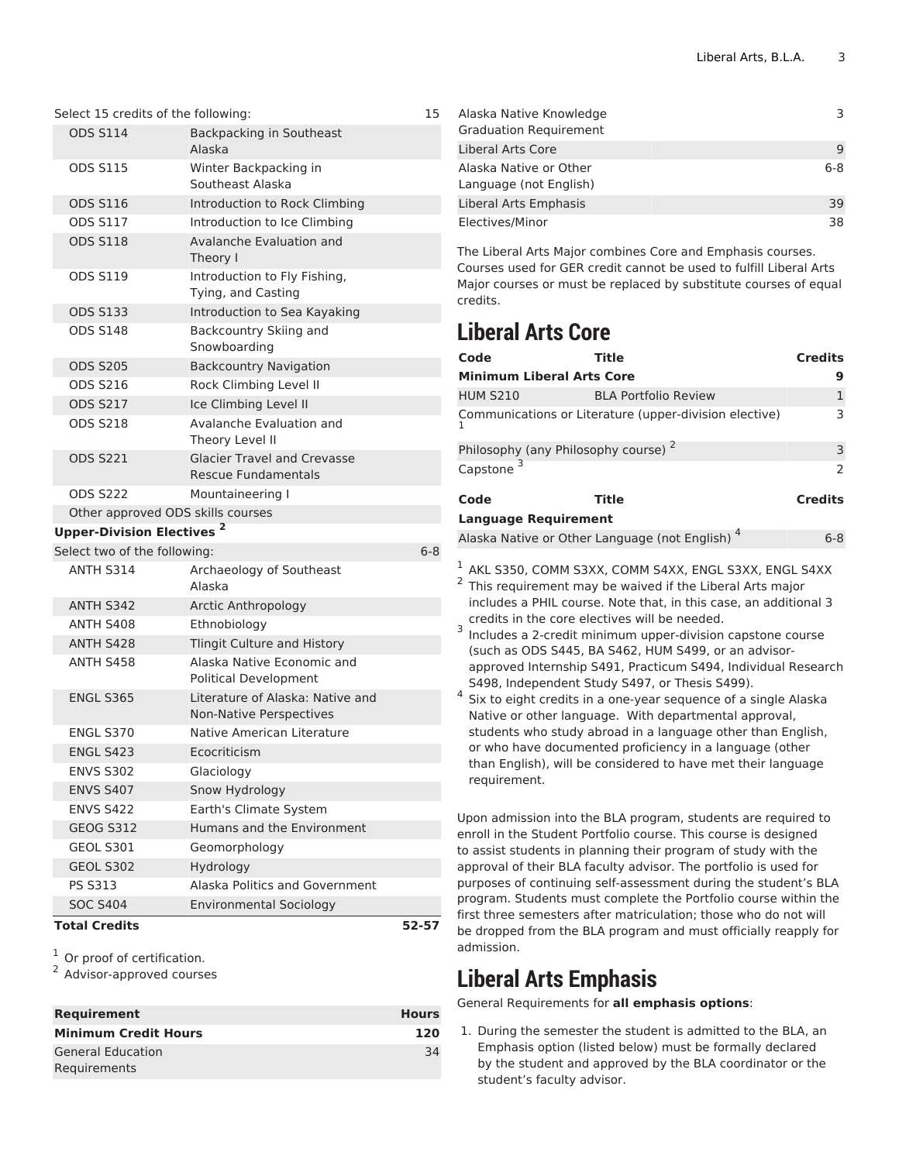| <b>SOC S404</b>                             | <b>Environmental Sociology</b>                                   |         |
|---------------------------------------------|------------------------------------------------------------------|---------|
| <b>PS S313</b>                              | Alaska Politics and Government                                   |         |
| <b>GEOL S302</b>                            | Hydrology                                                        |         |
| <b>GEOL S301</b>                            | Geomorphology                                                    |         |
| <b>GEOG S312</b>                            | Humans and the Environment                                       |         |
| <b>ENVS S422</b>                            | Earth's Climate System                                           |         |
| <b>ENVS S407</b>                            | Snow Hydrology                                                   |         |
| <b>ENVS S302</b>                            | Glaciology                                                       |         |
| <b>ENGL S423</b>                            | Ecocriticism                                                     |         |
| <b>ENGL S370</b>                            | Native American Literature                                       |         |
| <b>ENGL S365</b>                            | Literature of Alaska: Native and<br>Non-Native Perspectives      |         |
| ANTH S458                                   | Alaska Native Economic and<br><b>Political Development</b>       |         |
| <b>ANTH S428</b>                            | Tlingit Culture and History                                      |         |
| ANTH S408                                   | Ethnobiology                                                     |         |
| ANTH S342                                   | Arctic Anthropology                                              |         |
| ANTH S314                                   | Archaeology of Southeast<br>Alaska                               |         |
| Select two of the following:                |                                                                  | $6 - 8$ |
| <b>Upper-Division Electives<sup>2</sup></b> |                                                                  |         |
| Other approved ODS skills courses           |                                                                  |         |
| <b>ODS S222</b>                             | Mountaineering I                                                 |         |
| <b>ODS S221</b>                             | <b>Glacier Travel and Crevasse</b><br><b>Rescue Fundamentals</b> |         |
| <b>ODS S218</b>                             | Avalanche Evaluation and<br>Theory Level II                      |         |
| <b>ODS S217</b>                             | Ice Climbing Level II                                            |         |
| <b>ODS S216</b>                             | Rock Climbing Level II                                           |         |
| <b>ODS S205</b>                             | <b>Backcountry Navigation</b>                                    |         |
| <b>ODS S148</b>                             | Backcountry Skiing and<br>Snowboarding                           |         |
| <b>ODS S133</b>                             | Introduction to Sea Kayaking                                     |         |
| <b>ODS S119</b>                             | Introduction to Fly Fishing,<br>Tying, and Casting               |         |
|                                             | Theory I                                                         |         |
| <b>ODS S118</b>                             | Avalanche Evaluation and                                         |         |
| <b>ODS S117</b>                             | Introduction to Ice Climbing                                     |         |
| <b>ODS S116</b>                             | Southeast Alaska<br>Introduction to Rock Climbing                |         |
| <b>ODS S115</b>                             | Alaska<br>Winter Backpacking in                                  |         |
|                                             | Backpacking in Southeast                                         |         |

 $\frac{1}{2}$  Or proof of certification.

<sup>2</sup> Advisor-approved courses

| <b>Requirement</b>                       | <b>Hours</b> |
|------------------------------------------|--------------|
| <b>Minimum Credit Hours</b>              | 120          |
| <b>General Education</b><br>Requirements | 34           |

| Alaska Native Knowledge<br><b>Graduation Requirement</b> |     |
|----------------------------------------------------------|-----|
| Liberal Arts Core                                        | q   |
| Alaska Native or Other<br>Language (not English)         | 6-8 |
| Liberal Arts Emphasis                                    | 39  |
| Electives/Minor                                          | 38  |

The Liberal Arts Major combines Core and Emphasis courses. Courses used for GER credit cannot be used to fulfill Liberal Arts Major courses or must be replaced by substitute courses of equal credits.

### **Liberal Arts Core**

| Code                                            | <b>Title</b>                                                                                                                                                                                                                                                                                                                                                                                                                                                                                                                                                                                                                                                                                                                                                                                                          | <b>Credits</b> |
|-------------------------------------------------|-----------------------------------------------------------------------------------------------------------------------------------------------------------------------------------------------------------------------------------------------------------------------------------------------------------------------------------------------------------------------------------------------------------------------------------------------------------------------------------------------------------------------------------------------------------------------------------------------------------------------------------------------------------------------------------------------------------------------------------------------------------------------------------------------------------------------|----------------|
| <b>Minimum Liberal Arts Core</b>                |                                                                                                                                                                                                                                                                                                                                                                                                                                                                                                                                                                                                                                                                                                                                                                                                                       | 9              |
| <b>HUM S210</b>                                 | <b>BLA Portfolio Review</b>                                                                                                                                                                                                                                                                                                                                                                                                                                                                                                                                                                                                                                                                                                                                                                                           | $\mathbf{1}$   |
|                                                 | Communications or Literature (upper-division elective)                                                                                                                                                                                                                                                                                                                                                                                                                                                                                                                                                                                                                                                                                                                                                                | 3              |
| Philosophy (any Philosophy course) <sup>2</sup> |                                                                                                                                                                                                                                                                                                                                                                                                                                                                                                                                                                                                                                                                                                                                                                                                                       | 3              |
| Capstone <sup>3</sup>                           |                                                                                                                                                                                                                                                                                                                                                                                                                                                                                                                                                                                                                                                                                                                                                                                                                       | $\mathcal{P}$  |
| Code                                            | <b>Title</b>                                                                                                                                                                                                                                                                                                                                                                                                                                                                                                                                                                                                                                                                                                                                                                                                          | <b>Credits</b> |
| <b>Language Requirement</b>                     |                                                                                                                                                                                                                                                                                                                                                                                                                                                                                                                                                                                                                                                                                                                                                                                                                       |                |
|                                                 | Alaska Native or Other Language (not English) <sup>4</sup>                                                                                                                                                                                                                                                                                                                                                                                                                                                                                                                                                                                                                                                                                                                                                            | $6 - 8$        |
| 3<br>4<br>requirement.                          | $^1$ AKL S350, COMM S3XX, COMM S4XX, ENGL S3XX, ENGL S4XX<br><sup>2</sup> This requirement may be waived if the Liberal Arts major<br>includes a PHIL course. Note that, in this case, an additional 3<br>credits in the core electives will be needed.<br>Includes a 2-credit minimum upper-division capstone course<br>(such as ODS S445, BA S462, HUM S499, or an advisor-<br>approved Internship S491, Practicum S494, Individual Research<br>S498, Independent Study S497, or Thesis S499).<br>Six to eight credits in a one-year sequence of a single Alaska<br>Native or other language. With departmental approval,<br>students who study abroad in a language other than English,<br>or who have documented proficiency in a language (other<br>than English), will be considered to have met their language |                |
|                                                 | Upon admission into the BLA program, students are required to<br>enroll in the Student Portfolio course. This course is designed<br>to assist students in planning their program of study with the<br>$\Delta$ approval of their BLA faculty advisor. The portfolio is used for                                                                                                                                                                                                                                                                                                                                                                                                                                                                                                                                       |                |

approval of their BLA faculty advisor. The portfolio is used for purposes of continuing self-assessment during the student's BLA program. Students must complete the Portfolio course within the first three semesters after matriculation; those who do not will be dropped from the BLA program and must officially reapply for admission.

### **Liberal Arts Emphasis**

General Requirements for **all emphasis options**:

1. During the semester the student is admitted to the BLA, an Emphasis option (listed below) must be formally declared by the student and approved by the BLA coordinator or the student's faculty advisor.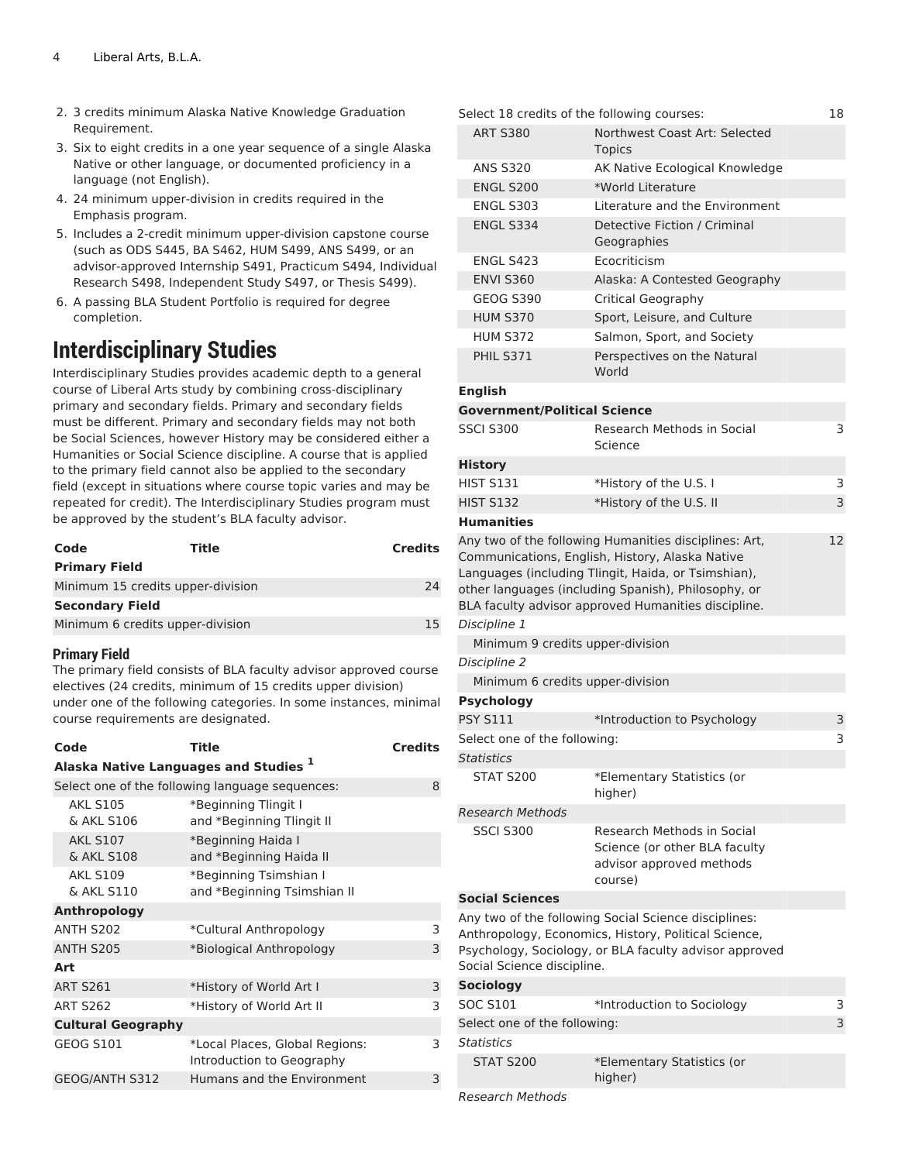- 2. 3 credits minimum Alaska Native Knowledge Graduation Requirement.
- 3. Six to eight credits in a one year sequence of a single Alaska Native or other language, or documented proficiency in a language (not English).
- 4. 24 minimum upper-division in credits required in the Emphasis program.
- 5. Includes a 2-credit minimum upper-division capstone course (such as ODS S445, BA S462, HUM S499, ANS S499, or an advisor-approved Internship S491, Practicum S494, Individual Research S498, Independent Study S497, or Thesis S499).
- 6. A passing BLA Student Portfolio is required for degree completion.

#### **Interdisciplinary Studies**

Interdisciplinary Studies provides academic depth to a general course of Liberal Arts study by combining cross-disciplinary primary and secondary fields. Primary and secondary fields must be different. Primary and secondary fields may not both be Social Sciences, however History may be considered either a Humanities or Social Science discipline. A course that is applied to the primary field cannot also be applied to the secondary field (except in situations where course topic varies and may be repeated for credit). The Interdisciplinary Studies program must be approved by the student's BLA faculty advisor.

| Code                              | Title | <b>Credits</b> |
|-----------------------------------|-------|----------------|
| <b>Primary Field</b>              |       |                |
| Minimum 15 credits upper-division |       | 24             |
| <b>Secondary Field</b>            |       |                |
| Minimum 6 credits upper-division  |       | 15             |

#### **Primary Field**

The primary field consists of BLA faculty advisor approved course electives (24 credits, minimum of 15 credits upper division) under one of the following categories. In some instances, minimal course requirements are designated.

| Code                          | Title                                                       | <b>Credits</b> |
|-------------------------------|-------------------------------------------------------------|----------------|
|                               | Alaska Native Languages and Studies <sup>1</sup>            |                |
|                               | Select one of the following language sequences:             | 8              |
| <b>AKL S105</b><br>& AKL S106 | *Beginning Tlingit I<br>and *Beginning Tlingit II           |                |
| <b>AKL S107</b><br>& AKL S108 | *Beginning Haida I<br>and *Beginning Haida II               |                |
| <b>AKL S109</b><br>& AKL S110 | *Beginning Tsimshian I<br>and *Beginning Tsimshian II       |                |
| <b>Anthropology</b>           |                                                             |                |
| ANTH S202                     | *Cultural Anthropology                                      | 3              |
| ANTH S205                     | *Biological Anthropology                                    | 3              |
| Art                           |                                                             |                |
| <b>ART S261</b>               | *History of World Art I                                     | 3              |
| <b>ART S262</b>               | *History of World Art II                                    | 3              |
| <b>Cultural Geography</b>     |                                                             |                |
| <b>GEOG S101</b>              | *Local Places, Global Regions:<br>Introduction to Geography | 3              |
| GEOG/ANTH S312                | Humans and the Environment                                  | 3              |
|                               |                                                             |                |

|                                     | Select 18 credits of the following courses:                                                                    | 18 |
|-------------------------------------|----------------------------------------------------------------------------------------------------------------|----|
| <b>ART S380</b>                     | Northwest Coast Art: Selected                                                                                  |    |
|                                     | <b>Topics</b>                                                                                                  |    |
| <b>ANS S320</b>                     | AK Native Ecological Knowledge                                                                                 |    |
| <b>ENGL S200</b>                    | *World Literature                                                                                              |    |
| <b>ENGL S303</b>                    | Literature and the Environment                                                                                 |    |
| <b>ENGL S334</b>                    | Detective Fiction / Criminal<br>Geographies                                                                    |    |
| ENGL S423                           | Ecocriticism                                                                                                   |    |
| <b>ENVI S360</b>                    | Alaska: A Contested Geography                                                                                  |    |
| <b>GEOG S390</b>                    | Critical Geography                                                                                             |    |
| <b>HUM S370</b>                     | Sport, Leisure, and Culture                                                                                    |    |
| <b>HUM S372</b>                     | Salmon, Sport, and Society                                                                                     |    |
| <b>PHIL S371</b>                    | Perspectives on the Natural<br>World                                                                           |    |
| <b>English</b>                      |                                                                                                                |    |
| <b>Government/Political Science</b> |                                                                                                                |    |
| <b>SSCI S300</b>                    | Research Methods in Social<br>Science                                                                          | 3  |
| <b>History</b>                      |                                                                                                                |    |
| <b>HIST S131</b>                    | *History of the U.S. I                                                                                         | 3  |
| <b>HIST S132</b>                    | *History of the U.S. II                                                                                        | 3  |
| <b>Humanities</b>                   |                                                                                                                |    |
|                                     | Any two of the following Humanities disciplines: Art,                                                          | 12 |
|                                     | Communications, English, History, Alaska Native                                                                |    |
|                                     | Languages (including Tlingit, Haida, or Tsimshian),                                                            |    |
|                                     | other languages (including Spanish), Philosophy, or                                                            |    |
|                                     | BLA faculty advisor approved Humanities discipline.                                                            |    |
| Discipline 1                        |                                                                                                                |    |
| Minimum 9 credits upper-division    |                                                                                                                |    |
| Discipline 2                        |                                                                                                                |    |
| Minimum 6 credits upper-division    |                                                                                                                |    |
| <b>Psychology</b>                   |                                                                                                                |    |
| <b>PSY S111</b>                     | *Introduction to Psychology                                                                                    | 3  |
| Select one of the following:        |                                                                                                                | 3  |
| Statistics                          |                                                                                                                |    |
| <b>STAT S200</b>                    | *Elementary Statistics (or<br>higher)                                                                          |    |
| <b>Research Methods</b>             |                                                                                                                |    |
| <b>SSCI S300</b>                    | <b>Research Methods in Social</b><br>Science (or other BLA faculty<br>advisor approved methods                 |    |
|                                     | course)                                                                                                        |    |
| <b>Social Sciences</b>              |                                                                                                                |    |
|                                     | Any two of the following Social Science disciplines:                                                           |    |
| Social Science discipline.          | Anthropology, Economics, History, Political Science,<br>Psychology, Sociology, or BLA faculty advisor approved |    |
| <b>Sociology</b>                    |                                                                                                                |    |
| <b>SOC S101</b>                     | *Introduction to Sociology                                                                                     | 3  |
| Select one of the following:        |                                                                                                                | 3  |
| <b>Statistics</b>                   |                                                                                                                |    |
| <b>STAT S200</b>                    | *Elementary Statistics (or                                                                                     |    |
|                                     | higher)                                                                                                        |    |
|                                     |                                                                                                                |    |

*Research Methods*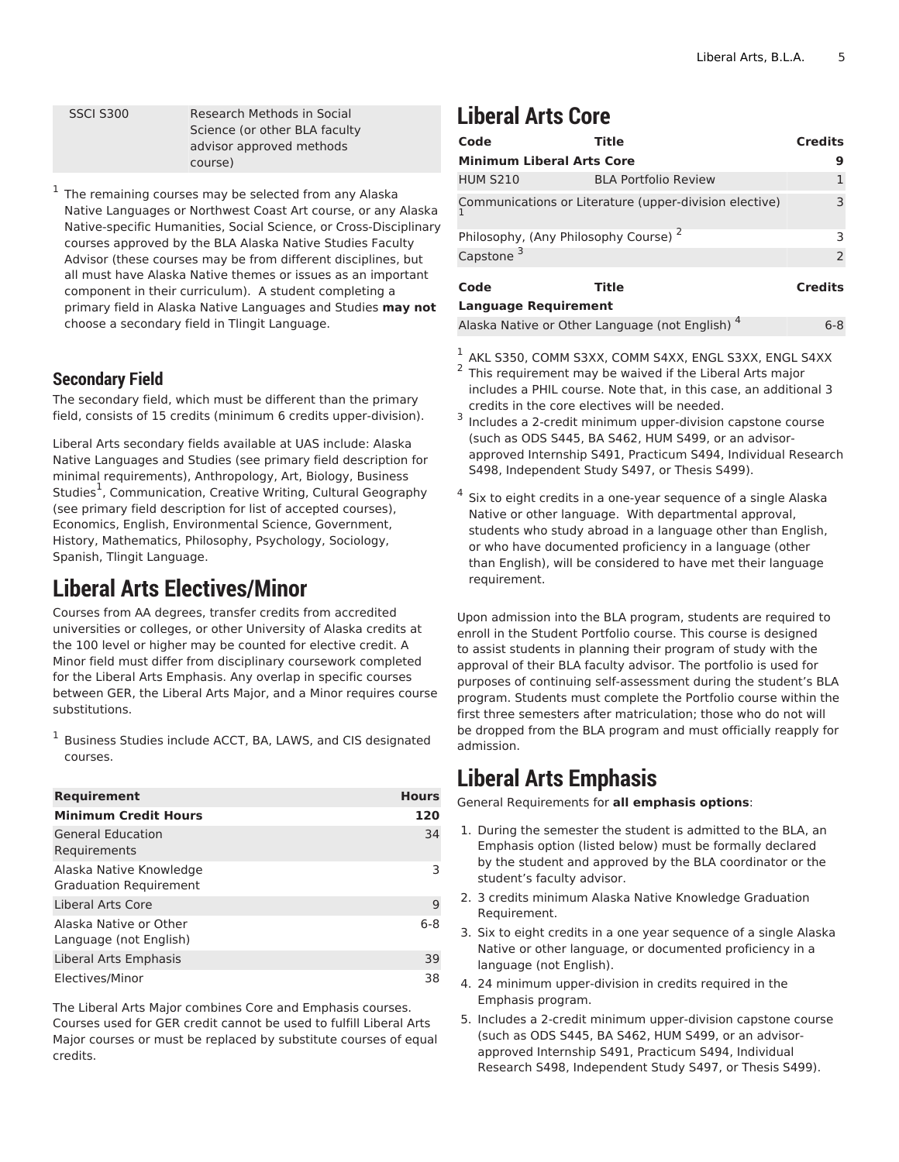SSCI S300 Research Methods in Social Science (or other BLA faculty advisor approved methods course)

1 The remaining courses may be selected from any Alaska Native Languages or Northwest Coast Art course, or any Alaska Native-specific Humanities, Social Science, or Cross-Disciplinary courses approved by the BLA Alaska Native Studies Faculty Advisor (these courses may be from different disciplines, but all must have Alaska Native themes or issues as an important component in their curriculum). A student completing a primary field in Alaska Native Languages and Studies **may not** choose a secondary field in Tlingit Language.

#### **Secondary Field**

The secondary field, which must be different than the primary field, consists of 15 credits (minimum 6 credits upper-division).

Liberal Arts secondary fields available at UAS include: Alaska Native Languages and Studies (see primary field description for minimal requirements), Anthropology, Art, Biology, Business Studies<sup>1</sup>, Communication, Creative Writing, Cultural Geography (see primary field description for list of accepted courses), Economics, English, Environmental Science, Government, History, Mathematics, Philosophy, Psychology, Sociology, Spanish, Tlingit Language.

### **Liberal Arts Electives/Minor**

Courses from AA degrees, transfer credits from accredited universities or colleges, or other University of Alaska credits at the 100 level or higher may be counted for elective credit. A Minor field must differ from disciplinary coursework completed for the Liberal Arts Emphasis. Any overlap in specific courses between GER, the Liberal Arts Major, and a Minor requires course substitutions.

1 Business Studies include ACCT, BA, LAWS, and CIS designated courses.

| <b>Requirement</b>                                       | <b>Hours</b> |
|----------------------------------------------------------|--------------|
| <b>Minimum Credit Hours</b>                              | 120          |
| <b>General Education</b><br>Requirements                 | 34           |
| Alaska Native Knowledge<br><b>Graduation Requirement</b> | 3            |
| Liberal Arts Core                                        | 9            |
| Alaska Native or Other<br>Language (not English)         | $6 - 8$      |
| Liberal Arts Emphasis                                    | 39           |
| Electives/Minor                                          | 38           |

The Liberal Arts Major combines Core and Emphasis courses. Courses used for GER credit cannot be used to fulfill Liberal Arts Major courses or must be replaced by substitute courses of equal credits.

### **Liberal Arts Core**

| Code                                             | Title                                                  | <b>Credits</b> |
|--------------------------------------------------|--------------------------------------------------------|----------------|
| <b>Minimum Liberal Arts Core</b>                 |                                                        | g              |
| <b>HUM S210</b>                                  | <b>BLA Portfolio Review</b>                            |                |
|                                                  | Communications or Literature (upper-division elective) | 3              |
| Philosophy, (Any Philosophy Course) <sup>2</sup> |                                                        | З              |
| Capstone <sup>3</sup>                            |                                                        | $\overline{2}$ |
| Code                                             | Title                                                  | <b>Credits</b> |
| <b>Language Requirement</b>                      |                                                        |                |
|                                                  | Alaska Native or Other Language (not English)          | $6 - 8$        |

- $\frac{1}{2}$  AKL S350, COMM S3XX, COMM S4XX, ENGL S3XX, ENGL S4XX 2 This requirement may be waived if the Liberal Arts major includes a PHIL course. Note that, in this case, an additional 3 credits in the core electives will be needed.
- 3 Includes a 2-credit minimum upper-division capstone course (such as ODS S445, BA S462, HUM S499, or an advisorapproved Internship S491, Practicum S494, Individual Research S498, Independent Study S497, or Thesis S499).
- 4 Six to eight credits in a one-year sequence of a single Alaska Native or other language. With departmental approval, students who study abroad in a language other than English, or who have documented proficiency in a language (other than English), will be considered to have met their language requirement.

Upon admission into the BLA program, students are required to enroll in the Student Portfolio course. This course is designed to assist students in planning their program of study with the approval of their BLA faculty advisor. The portfolio is used for purposes of continuing self-assessment during the student's BLA program. Students must complete the Portfolio course within the first three semesters after matriculation; those who do not will be dropped from the BLA program and must officially reapply for admission.

#### **Liberal Arts Emphasis**

General Requirements for **all emphasis options**:

- 1. During the semester the student is admitted to the BLA, an Emphasis option (listed below) must be formally declared by the student and approved by the BLA coordinator or the student's faculty advisor.
- 2. 3 credits minimum Alaska Native Knowledge Graduation Requirement.
- 3. Six to eight credits in a one year sequence of a single Alaska Native or other language, or documented proficiency in a language (not English).
- 4. 24 minimum upper-division in credits required in the Emphasis program.
- 5. Includes a 2-credit minimum upper-division capstone course (such as ODS S445, BA S462, HUM S499, or an advisorapproved Internship S491, Practicum S494, Individual Research S498, Independent Study S497, or Thesis S499).